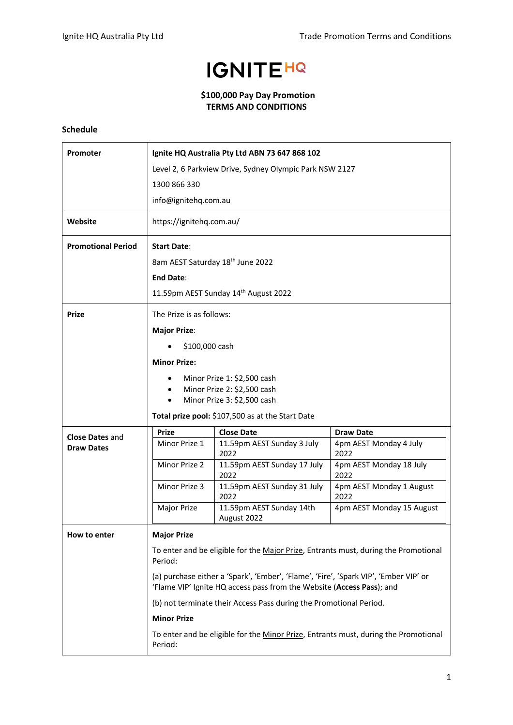## **IGNITEHQ**

## **\$100,000 Pay Day Promotion TERMS AND CONDITIONS**

## **Schedule**

| <b>Promoter</b>                             | Ignite HQ Australia Pty Ltd ABN 73 647 868 102                                                                                                                                                                                                                                                                                        |                                         |                                  |  |
|---------------------------------------------|---------------------------------------------------------------------------------------------------------------------------------------------------------------------------------------------------------------------------------------------------------------------------------------------------------------------------------------|-----------------------------------------|----------------------------------|--|
|                                             | Level 2, 6 Parkview Drive, Sydney Olympic Park NSW 2127                                                                                                                                                                                                                                                                               |                                         |                                  |  |
|                                             | 1300 866 330                                                                                                                                                                                                                                                                                                                          |                                         |                                  |  |
|                                             | info@ignitehq.com.au                                                                                                                                                                                                                                                                                                                  |                                         |                                  |  |
| Website                                     | https://ignitehq.com.au/                                                                                                                                                                                                                                                                                                              |                                         |                                  |  |
| <b>Promotional Period</b>                   | <b>Start Date:</b>                                                                                                                                                                                                                                                                                                                    |                                         |                                  |  |
|                                             | 8am AEST Saturday 18 <sup>th</sup> June 2022                                                                                                                                                                                                                                                                                          |                                         |                                  |  |
|                                             | <b>End Date:</b>                                                                                                                                                                                                                                                                                                                      |                                         |                                  |  |
|                                             |                                                                                                                                                                                                                                                                                                                                       | 11.59pm AEST Sunday 14th August 2022    |                                  |  |
| <b>Prize</b>                                | The Prize is as follows:                                                                                                                                                                                                                                                                                                              |                                         |                                  |  |
|                                             | <b>Major Prize:</b>                                                                                                                                                                                                                                                                                                                   |                                         |                                  |  |
|                                             | \$100,000 cash                                                                                                                                                                                                                                                                                                                        |                                         |                                  |  |
|                                             | <b>Minor Prize:</b>                                                                                                                                                                                                                                                                                                                   |                                         |                                  |  |
|                                             | Minor Prize 1: \$2,500 cash                                                                                                                                                                                                                                                                                                           |                                         |                                  |  |
|                                             |                                                                                                                                                                                                                                                                                                                                       | Minor Prize 2: \$2,500 cash             |                                  |  |
|                                             | Minor Prize 3: \$2,500 cash<br>Total prize pool: \$107,500 as at the Start Date                                                                                                                                                                                                                                                       |                                         |                                  |  |
|                                             | <b>Prize</b>                                                                                                                                                                                                                                                                                                                          | <b>Close Date</b>                       | <b>Draw Date</b>                 |  |
| <b>Close Dates and</b><br><b>Draw Dates</b> | Minor Prize 1                                                                                                                                                                                                                                                                                                                         | 11.59pm AEST Sunday 3 July              | 4pm AEST Monday 4 July           |  |
|                                             | Minor Prize 2                                                                                                                                                                                                                                                                                                                         | 2022<br>11.59pm AEST Sunday 17 July     | 2022<br>4pm AEST Monday 18 July  |  |
|                                             |                                                                                                                                                                                                                                                                                                                                       | 2022                                    | 2022                             |  |
|                                             | Minor Prize 3                                                                                                                                                                                                                                                                                                                         | 11.59pm AEST Sunday 31 July<br>2022     | 4pm AEST Monday 1 August<br>2022 |  |
|                                             | Major Prize                                                                                                                                                                                                                                                                                                                           | 11.59pm AEST Sunday 14th<br>August 2022 | 4pm AEST Monday 15 August        |  |
| How to enter                                | <b>Major Prize</b>                                                                                                                                                                                                                                                                                                                    |                                         |                                  |  |
|                                             | To enter and be eligible for the Major Prize, Entrants must, during the Promotional<br>Period:<br>(a) purchase either a 'Spark', 'Ember', 'Flame', 'Fire', 'Spark VIP', 'Ember VIP' or<br>'Flame VIP' Ignite HQ access pass from the Website (Access Pass); and<br>(b) not terminate their Access Pass during the Promotional Period. |                                         |                                  |  |
|                                             |                                                                                                                                                                                                                                                                                                                                       |                                         |                                  |  |
|                                             |                                                                                                                                                                                                                                                                                                                                       |                                         |                                  |  |
|                                             | <b>Minor Prize</b>                                                                                                                                                                                                                                                                                                                    |                                         |                                  |  |
|                                             | To enter and be eligible for the Minor Prize, Entrants must, during the Promotional<br>Period:                                                                                                                                                                                                                                        |                                         |                                  |  |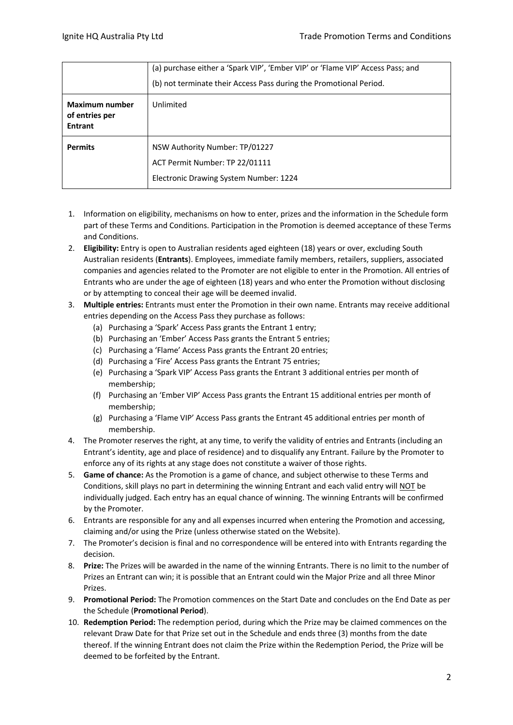|                                                           | (a) purchase either a 'Spark VIP', 'Ember VIP' or 'Flame VIP' Access Pass; and<br>(b) not terminate their Access Pass during the Promotional Period. |  |  |
|-----------------------------------------------------------|------------------------------------------------------------------------------------------------------------------------------------------------------|--|--|
| <b>Maximum number</b><br>of entries per<br><b>Entrant</b> | Unlimited                                                                                                                                            |  |  |
| <b>Permits</b>                                            | NSW Authority Number: TP/01227<br>ACT Permit Number: TP 22/01111<br>Electronic Drawing System Number: 1224                                           |  |  |

- 1. Information on eligibility, mechanisms on how to enter, prizes and the information in the Schedule form part of these Terms and Conditions. Participation in the Promotion is deemed acceptance of these Terms and Conditions.
- 2. **Eligibility:** Entry is open to Australian residents aged eighteen (18) years or over, excluding South Australian residents (**Entrants**). Employees, immediate family members, retailers, suppliers, associated companies and agencies related to the Promoter are not eligible to enter in the Promotion. All entries of Entrants who are under the age of eighteen (18) years and who enter the Promotion without disclosing or by attempting to conceal their age will be deemed invalid.
- 3. **Multiple entries:** Entrants must enter the Promotion in their own name. Entrants may receive additional entries depending on the Access Pass they purchase as follows:
	- (a) Purchasing a 'Spark' Access Pass grants the Entrant 1 entry;
	- (b) Purchasing an 'Ember' Access Pass grants the Entrant 5 entries;
	- (c) Purchasing a 'Flame' Access Pass grants the Entrant 20 entries;
	- (d) Purchasing a 'Fire' Access Pass grants the Entrant 75 entries;
	- (e) Purchasing a 'Spark VIP' Access Pass grants the Entrant 3 additional entries per month of membership;
	- (f) Purchasing an 'Ember VIP' Access Pass grants the Entrant 15 additional entries per month of membership;
	- (g) Purchasing a 'Flame VIP' Access Pass grants the Entrant 45 additional entries per month of membership.
- 4. The Promoter reserves the right, at any time, to verify the validity of entries and Entrants (including an Entrant's identity, age and place of residence) and to disqualify any Entrant. Failure by the Promoter to enforce any of its rights at any stage does not constitute a waiver of those rights.
- 5. **Game of chance:** As the Promotion is a game of chance, and subject otherwise to these Terms and Conditions, skill plays no part in determining the winning Entrant and each valid entry will NOT be individually judged. Each entry has an equal chance of winning. The winning Entrants will be confirmed by the Promoter.
- 6. Entrants are responsible for any and all expenses incurred when entering the Promotion and accessing, claiming and/or using the Prize (unless otherwise stated on the Website).
- 7. The Promoter's decision is final and no correspondence will be entered into with Entrants regarding the decision.
- 8. **Prize:** The Prizes will be awarded in the name of the winning Entrants. There is no limit to the number of Prizes an Entrant can win; it is possible that an Entrant could win the Major Prize and all three Minor Prizes.
- 9. **Promotional Period:** The Promotion commences on the Start Date and concludes on the End Date as per the Schedule (**Promotional Period**).
- 10. **Redemption Period:** The redemption period, during which the Prize may be claimed commences on the relevant Draw Date for that Prize set out in the Schedule and ends three (3) months from the date thereof. If the winning Entrant does not claim the Prize within the Redemption Period, the Prize will be deemed to be forfeited by the Entrant.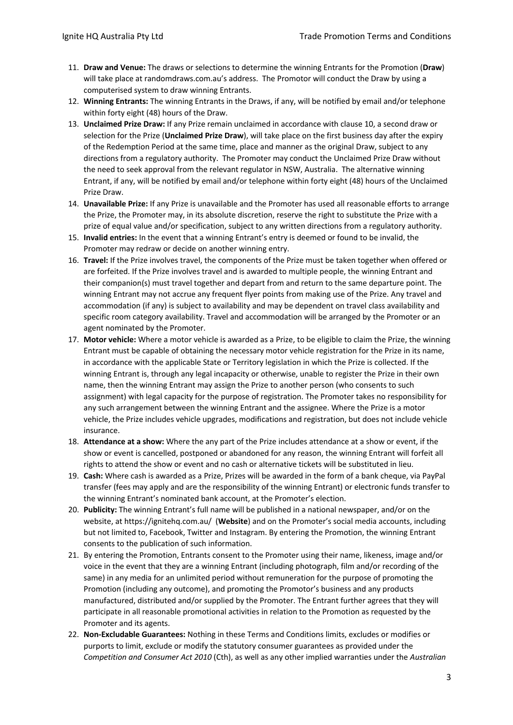- 11. **Draw and Venue:** The draws or selections to determine the winning Entrants for the Promotion (**Draw**) will take place at randomdraws.com.au's address. The Promotor will conduct the Draw by using a computerised system to draw winning Entrants.
- 12. **Winning Entrants:** The winning Entrants in the Draws, if any, will be notified by email and/or telephone within forty eight (48) hours of the Draw.
- 13. **Unclaimed Prize Draw:** If any Prize remain unclaimed in accordance with clause 10, a second draw or selection for the Prize (**Unclaimed Prize Draw**), will take place on the first business day after the expiry of the Redemption Period at the same time, place and manner as the original Draw, subject to any directions from a regulatory authority. The Promoter may conduct the Unclaimed Prize Draw without the need to seek approval from the relevant regulator in NSW, Australia. The alternative winning Entrant, if any, will be notified by email and/or telephone within forty eight (48) hours of the Unclaimed Prize Draw.
- 14. **Unavailable Prize:** If any Prize is unavailable and the Promoter has used all reasonable efforts to arrange the Prize, the Promoter may, in its absolute discretion, reserve the right to substitute the Prize with a prize of equal value and/or specification, subject to any written directions from a regulatory authority.
- 15. **Invalid entries:** In the event that a winning Entrant's entry is deemed or found to be invalid, the Promoter may redraw or decide on another winning entry.
- 16. **Travel:** If the Prize involves travel, the components of the Prize must be taken together when offered or are forfeited. If the Prize involves travel and is awarded to multiple people, the winning Entrant and their companion(s) must travel together and depart from and return to the same departure point. The winning Entrant may not accrue any frequent flyer points from making use of the Prize. Any travel and accommodation (if any) is subject to availability and may be dependent on travel class availability and specific room category availability. Travel and accommodation will be arranged by the Promoter or an agent nominated by the Promoter.
- 17. **Motor vehicle:** Where a motor vehicle is awarded as a Prize, to be eligible to claim the Prize, the winning Entrant must be capable of obtaining the necessary motor vehicle registration for the Prize in its name, in accordance with the applicable State or Territory legislation in which the Prize is collected. If the winning Entrant is, through any legal incapacity or otherwise, unable to register the Prize in their own name, then the winning Entrant may assign the Prize to another person (who consents to such assignment) with legal capacity for the purpose of registration. The Promoter takes no responsibility for any such arrangement between the winning Entrant and the assignee. Where the Prize is a motor vehicle, the Prize includes vehicle upgrades, modifications and registration, but does not include vehicle insurance.
- 18. **Attendance at a show:** Where the any part of the Prize includes attendance at a show or event, if the show or event is cancelled, postponed or abandoned for any reason, the winning Entrant will forfeit all rights to attend the show or event and no cash or alternative tickets will be substituted in lieu.
- 19. **Cash:** Where cash is awarded as a Prize, Prizes will be awarded in the form of a bank cheque, via PayPal transfer (fees may apply and are the responsibility of the winning Entrant) or electronic funds transfer to the winning Entrant's nominated bank account, at the Promoter's election.
- 20. **Publicity:** The winning Entrant's full name will be published in a national newspaper, and/or on the website, at https://ignitehq.com.au/ (**Website**) and on the Promoter's social media accounts, including but not limited to, Facebook, Twitter and Instagram. By entering the Promotion, the winning Entrant consents to the publication of such information.
- 21. By entering the Promotion, Entrants consent to the Promoter using their name, likeness, image and/or voice in the event that they are a winning Entrant (including photograph, film and/or recording of the same) in any media for an unlimited period without remuneration for the purpose of promoting the Promotion (including any outcome), and promoting the Promotor's business and any products manufactured, distributed and/or supplied by the Promoter. The Entrant further agrees that they will participate in all reasonable promotional activities in relation to the Promotion as requested by the Promoter and its agents.
- 22. **Non-Excludable Guarantees:** Nothing in these Terms and Conditions limits, excludes or modifies or purports to limit, exclude or modify the statutory consumer guarantees as provided under the *Competition and Consumer Act 2010* (Cth), as well as any other implied warranties under the *Australian*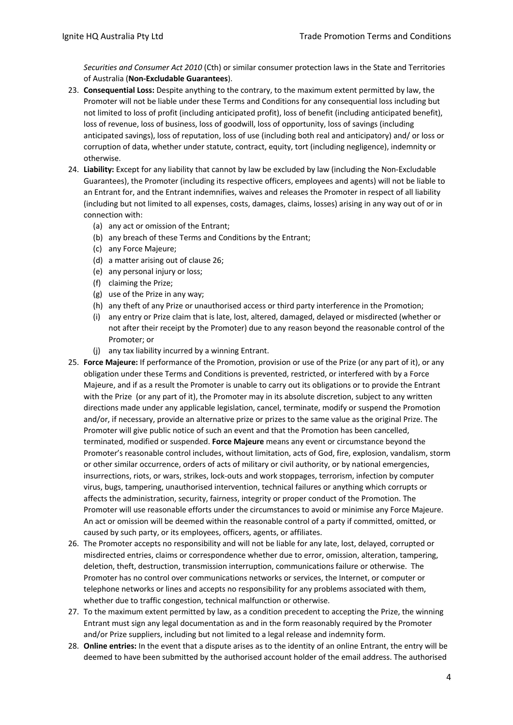*Securities and Consumer Act 2010* (Cth) or similar consumer protection laws in the State and Territories of Australia (**Non-Excludable Guarantees**).

- 23. **Consequential Loss:** Despite anything to the contrary, to the maximum extent permitted by law, the Promoter will not be liable under these Terms and Conditions for any consequential loss including but not limited to loss of profit (including anticipated profit), loss of benefit (including anticipated benefit), loss of revenue, loss of business, loss of goodwill, loss of opportunity, loss of savings (including anticipated savings), loss of reputation, loss of use (including both real and anticipatory) and/ or loss or corruption of data, whether under statute, contract, equity, tort (including negligence), indemnity or otherwise.
- 24. **Liability:** Except for any liability that cannot by law be excluded by law (including the Non-Excludable Guarantees), the Promoter (including its respective officers, employees and agents) will not be liable to an Entrant for, and the Entrant indemnifies, waives and releases the Promoter in respect of all liability (including but not limited to all expenses, costs, damages, claims, losses) arising in any way out of or in connection with:
	- (a) any act or omission of the Entrant;
	- (b) any breach of these Terms and Conditions by the Entrant;
	- (c) any Force Majeure;
	- (d) a matter arising out of clause 26;
	- (e) any personal injury or loss;
	- (f) claiming the Prize;
	- (g) use of the Prize in any way;
	- (h) any theft of any Prize or unauthorised access or third party interference in the Promotion;
	- (i) any entry or Prize claim that is late, lost, altered, damaged, delayed or misdirected (whether or not after their receipt by the Promoter) due to any reason beyond the reasonable control of the Promoter; or
	- (j) any tax liability incurred by a winning Entrant.
- 25. **Force Majeure:** If performance of the Promotion, provision or use of the Prize (or any part of it), or any obligation under these Terms and Conditions is prevented, restricted, or interfered with by a Force Majeure, and if as a result the Promoter is unable to carry out its obligations or to provide the Entrant with the Prize (or any part of it), the Promoter may in its absolute discretion, subject to any written directions made under any applicable legislation, cancel, terminate, modify or suspend the Promotion and/or, if necessary, provide an alternative prize or prizes to the same value as the original Prize. The Promoter will give public notice of such an event and that the Promotion has been cancelled, terminated, modified or suspended. **Force Majeure** means any event or circumstance beyond the Promoter's reasonable control includes, without limitation, acts of God, fire, explosion, vandalism, storm or other similar occurrence, orders of acts of military or civil authority, or by national emergencies, insurrections, riots, or wars, strikes, lock-outs and work stoppages, terrorism, infection by computer virus, bugs, tampering, unauthorised intervention, technical failures or anything which corrupts or affects the administration, security, fairness, integrity or proper conduct of the Promotion. The Promoter will use reasonable efforts under the circumstances to avoid or minimise any Force Majeure. An act or omission will be deemed within the reasonable control of a party if committed, omitted, or caused by such party, or its employees, officers, agents, or affiliates.
- 26. The Promoter accepts no responsibility and will not be liable for any late, lost, delayed, corrupted or misdirected entries, claims or correspondence whether due to error, omission, alteration, tampering, deletion, theft, destruction, transmission interruption, communications failure or otherwise. The Promoter has no control over communications networks or services, the Internet, or computer or telephone networks or lines and accepts no responsibility for any problems associated with them, whether due to traffic congestion, technical malfunction or otherwise.
- 27. To the maximum extent permitted by law, as a condition precedent to accepting the Prize, the winning Entrant must sign any legal documentation as and in the form reasonably required by the Promoter and/or Prize suppliers, including but not limited to a legal release and indemnity form.
- 28. **Online entries:** In the event that a dispute arises as to the identity of an online Entrant, the entry will be deemed to have been submitted by the authorised account holder of the email address. The authorised